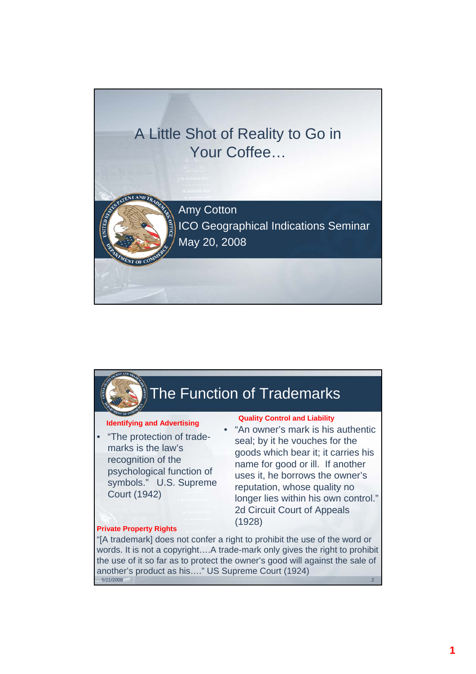

## The Function of Trademarks • "The protection of trademarks is the law's recognition of the psychological function of symbols." U.S. Supreme Court (1942) • "An owner's mark is his authentic seal; by it he vouches for the goods which bear it; it carries his name for good or ill. If another uses it, he borrows the owner's reputation, whose quality no longer lies within his own control." 2d Circuit Court of Appeals (1928) **Identifying and Advertising Quality Control and Liability** "[A trademark] does not confer a right to prohibit the use of the word or words. It is not a copyright….A trade-mark only gives the right to prohibit the use of it so far as to protect the owner's good will against the sale of another's product as his...." US Supreme Court (1924) **Private Property Rights**

5/21/2008 2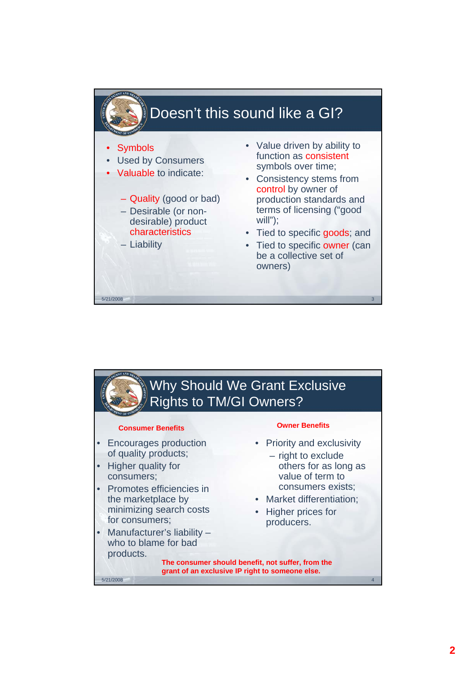

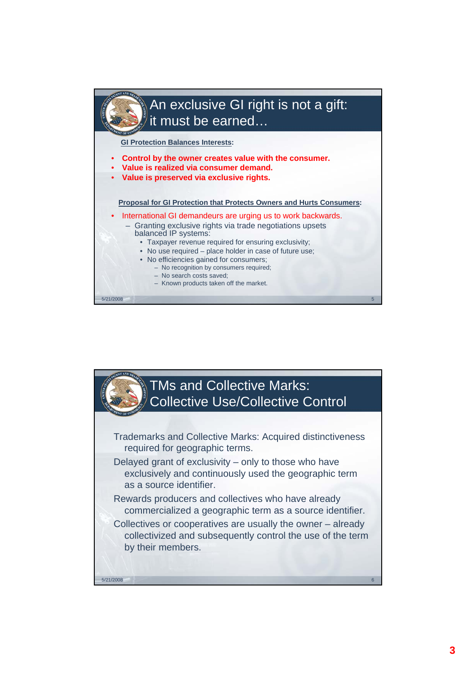

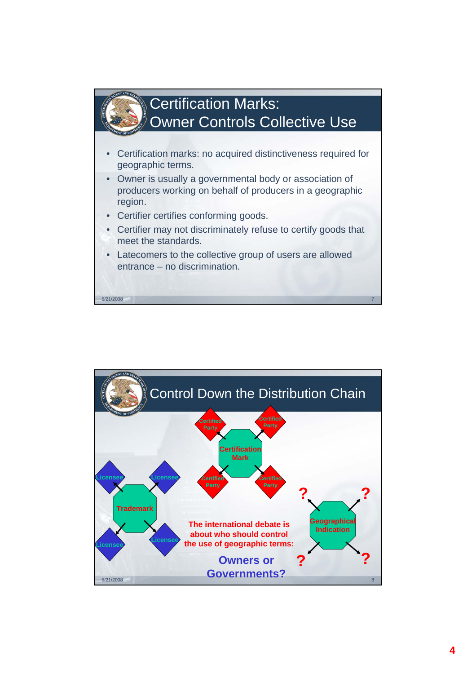